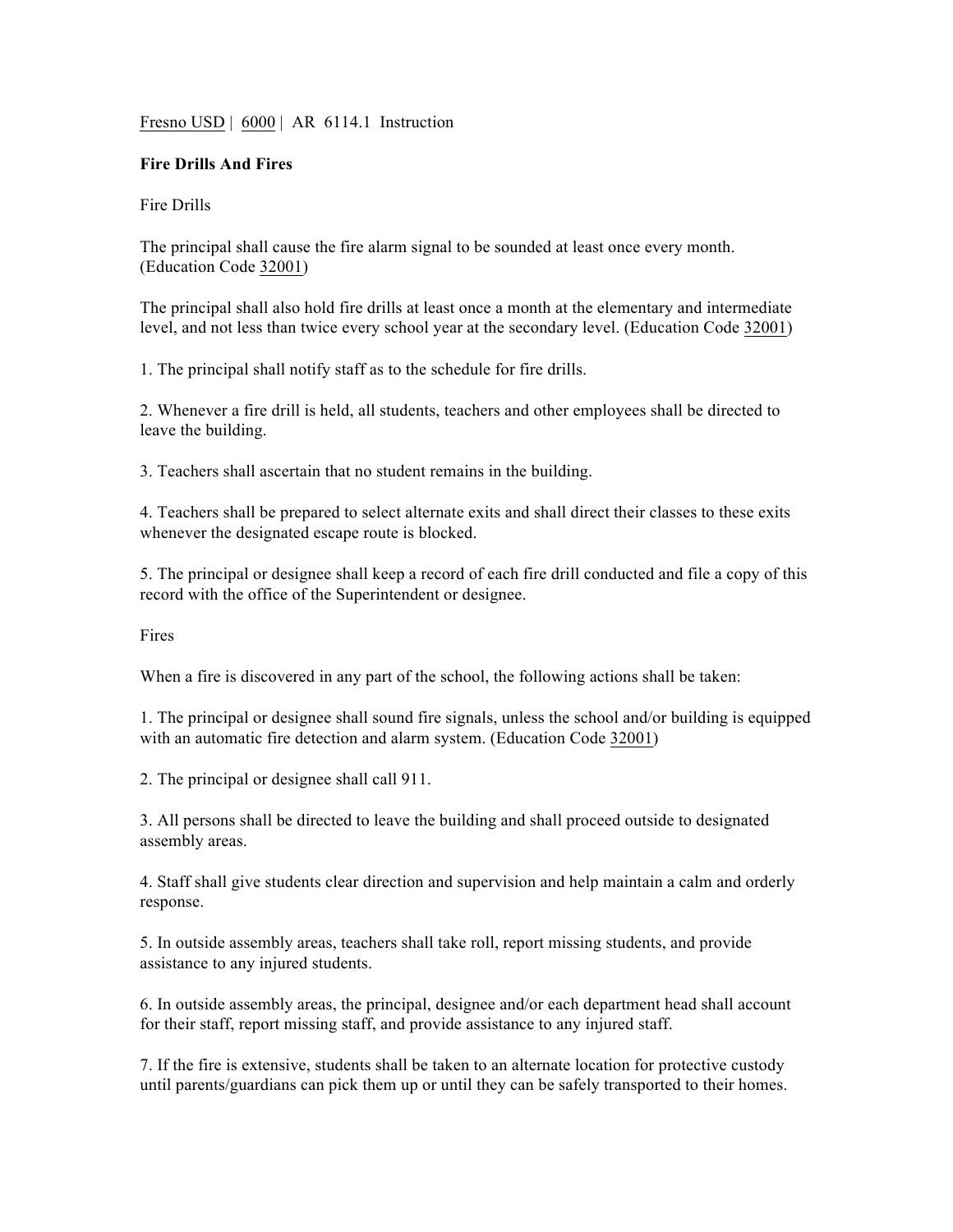Fresno USD | 6000 | AR 6114.1 Instruction

## **Fire Drills And Fires**

Fire Drills

The principal shall cause the fire alarm signal to be sounded at least once every month. (Education Code 32001)

The principal shall also hold fire drills at least once a month at the elementary and intermediate level, and not less than twice every school year at the secondary level. (Education Code 32001)

1. The principal shall notify staff as to the schedule for fire drills.

2. Whenever a fire drill is held, all students, teachers and other employees shall be directed to leave the building.

3. Teachers shall ascertain that no student remains in the building.

4. Teachers shall be prepared to select alternate exits and shall direct their classes to these exits whenever the designated escape route is blocked.

5. The principal or designee shall keep a record of each fire drill conducted and file a copy of this record with the office of the Superintendent or designee.

Fires

When a fire is discovered in any part of the school, the following actions shall be taken:

1. The principal or designee shall sound fire signals, unless the school and/or building is equipped with an automatic fire detection and alarm system. (Education Code 32001)

2. The principal or designee shall call 911.

3. All persons shall be directed to leave the building and shall proceed outside to designated assembly areas.

4. Staff shall give students clear direction and supervision and help maintain a calm and orderly response.

5. In outside assembly areas, teachers shall take roll, report missing students, and provide assistance to any injured students.

6. In outside assembly areas, the principal, designee and/or each department head shall account for their staff, report missing staff, and provide assistance to any injured staff.

7. If the fire is extensive, students shall be taken to an alternate location for protective custody until parents/guardians can pick them up or until they can be safely transported to their homes.